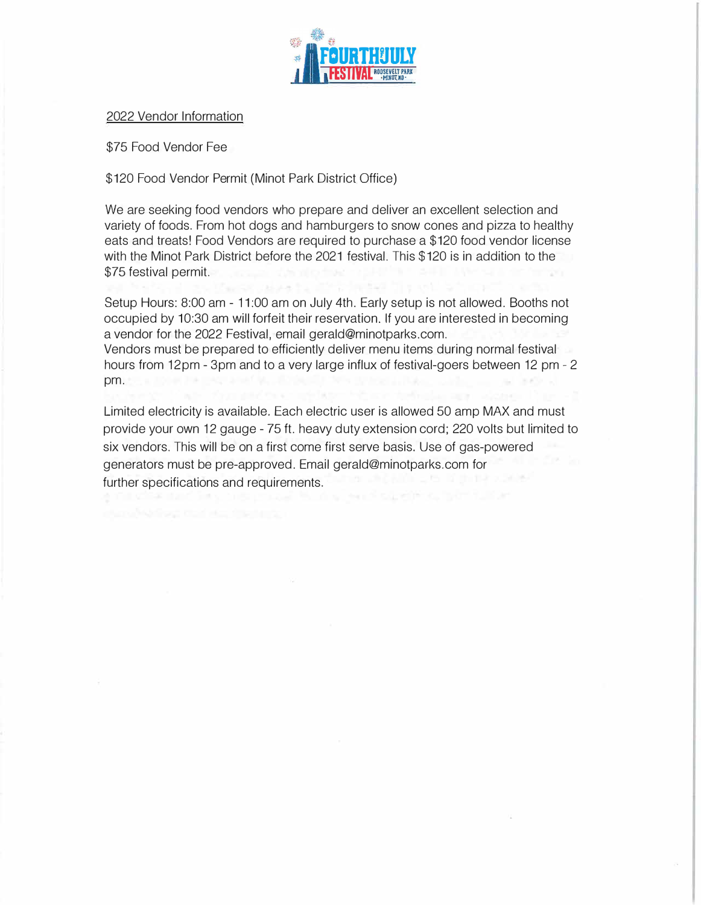

## 2022 Vendor Information

\$75 Food Vendor Fee

\$120 Food Vendor Permit (Minot Park District Office)

We are seeking food vendors who prepare and deliver an excellent selection and variety of foods. From hot dogs and hamburgers to snow cones and pizza to healthy eats and treats! Food Vendors are required to purchase a \$120 food vendor license with the Minot Park District before the 2021 festival. This \$120 is in addition to the \$75 festival permit.

Setup Hours: 8:00 am - 11:00 am on July 4th. Early setup is not allowed. Booths not occupied by 10:30 am will forfeit their reservation. If you are interested in becoming a vendor for the 2022 Festival, email gerald@minotparks.com. Vendors must be prepared to efficiently deliver menu items during normal festival hours from 12pm - 3pm and to a very large influx of festival-goers between 12 pm - 2 pm.

Limited electricity is available. Each electric user is allowed 50 amp MAX and must provide your own 12 gauge - 75 ft. heavy duty extension cord; 220 volts but limited to six vendors. This will be on a first come first serve basis. Use of gas-powered generators must be pre-approved. Email gerald@minotparks.com for further specifications and requirements.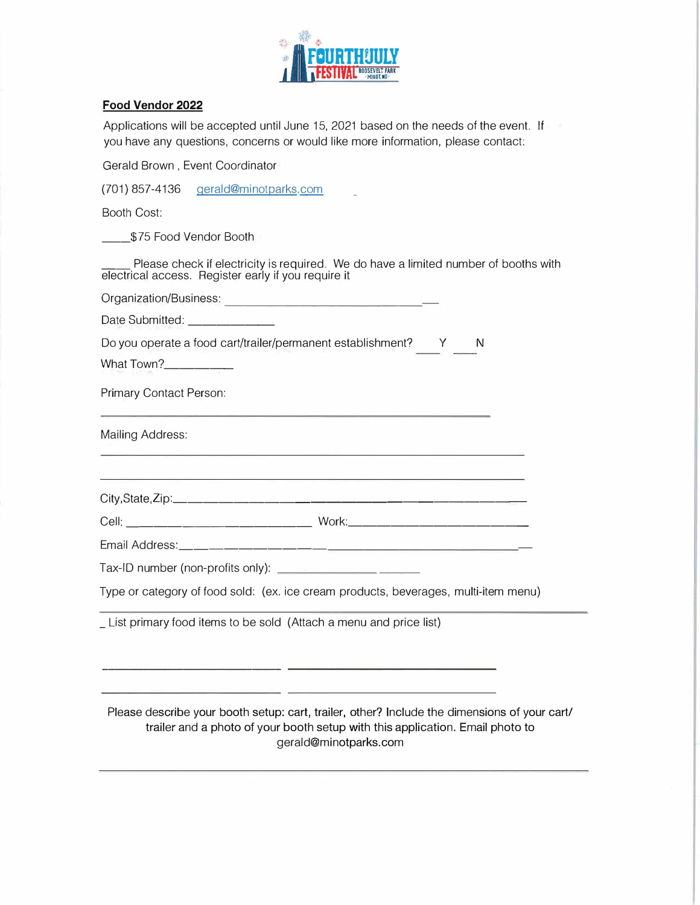

## **Food Vendor 2022**

Applications will be accepted until June 15, 2021 based on the needs of the event. If you have any questions, concerns or would like more information, please contact:

Gerald Brown , Event Coordinator

(701) 857-4136 gerald@minotparks.com

Booth Cost:

\_\_ \$75 Food Vendor Booth

Please check if electricity is required. We do have a limited number of booths with electrical access. Register early if you require it

Organization/Business: \_ \_\_\_\_\_\_\_\_ \_

Date Submitted: \_\_\_\_\_\_\_\_\_\_\_\_\_

Do you operate a food cart/trailer/permanent establishment? Y N

What Town?\_\_\_\_\_\_\_\_\_\_

Primary Contact Person:

Mailing Address:

City,State,Zip: \_\_\_\_\_\_\_\_\_\_\_\_\_\_\_\_\_\_\_\_\_\_ \_

Cell: \_\_\_\_\_\_\_\_\_\_\_\_\_ Work: \_\_\_\_\_\_\_\_\_\_\_\_ \_

Email Address: \_\_\_\_\_\_\_\_\_\_\_\_\_\_\_\_\_\_\_\_\_\_ \_

Tax-ID number (non-profits only):

Type or category of food sold: (ex. ice cream products, beverages, multi-item menu)

<u>and a strong of the strong strong and the strong strong strong and the strong strong strong strong strong strong strong strong strong strong strong strong strong strong strong strong strong strong strong strong strong str</u>

\_ List primary food items to be sold (Attach a menu and price list)

Please describe your booth setup: cart, trailer, other? Include the dimensions of your cart/ trailer and a photo of your booth setup with this application. Email photo to gerald@minotparks.com